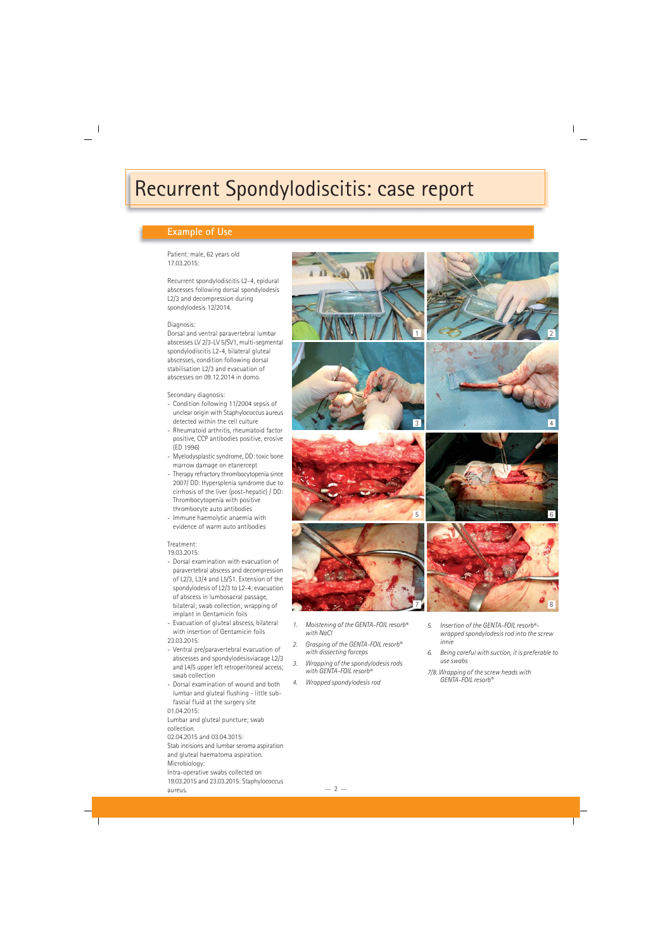# Recurrent Spondylodiscitis: case report

## **Example of Use**

Patient: male, 62 years old 17.03.2015:

Recurrent spondylodiscitis L2-4, epidural abscesses following dorsal spondylodesis L2/3 and decompression during spondylodesis 12/2014.

#### Diagnosis:

Dorsal and ventral paravertebral lumbar abscesses LV 2/3-LV 5/SV1, multi-segmental spondylodiscitis L2-4, bilateral gluteal abscesses, condition following dorsal stabilisation L2/3 and evacuation of abscesses on 09.12.2014 in domo.

## Secondary diagnosis:

- Condition following 11/2004 sepsis of unclear origin with Staphylococcus aureus detected within the cell culture
- Rheumatoid arthritis, rheumatoid factor positive, CCP antibodies positive, erosive (ED 1996)
- Myelodysplastic syndrome, DD: toxic bone marrow damage on etanercept
- Therapy refractory thrombocytopenia since 2007/ DD: Hypersplenia syndrome due to cirrhosis of the liver (post-hepatic) / DD: Thrombocytopenia with positive thrombocyte auto antibodies
- Immune haemolytic anaemia with evidence of warm auto antibodies

## Treatment:

19.03.2015:

- Dorsal examination with evacuation of paravertebral abscess and decompression of L2/3, L3/4 and L5/S1. Extension of the spondylodesis of L2/3 to L2-4; evacuation of abscess in lumbosacral passage, bilateral; swab collection; wrapping of implant in Gentamicin foils
- Evacuation of gluteal abscess, bilateral with insertion of Gentamicin foils
- 23.03.2015:
- Ventral pre/paravertebral evacuation of abscesses and spondylodesisviacage L2/3 and L4/5 upper left retroperitoneal access; swab collection
- Dorsal examination of wound and both lumbar and gluteal flushing - little subfascial fluid at the surgery site 01.04.2015:

Lumbar and gluteal puncture; swab collection.

02.04.2015 and 03.04.3015:

Stab incisions and lumbar seroma aspiration and gluteal haematoma aspiration. Microbiology: Intra-operative swabs collected on

19.03.2015 and 23.03.2015: Staphylococcus aureus. -- 2 --









- *1. Moistening of the GENTA-FOIL resorb® with NaCl*
- *2. Grasping of the GENTA-FOIL resorb® with dissecting forceps*
- *3. Wrapping of the spondylodesis rods with GENTA-FOIL resorb®*
- *4. Wrapped spondylodesis rod*



- *6. Being careful with suction, it is preferable to use swabs*
- *7/8. Wrapping of the screw heads with GENTA-FOIL resorb®*